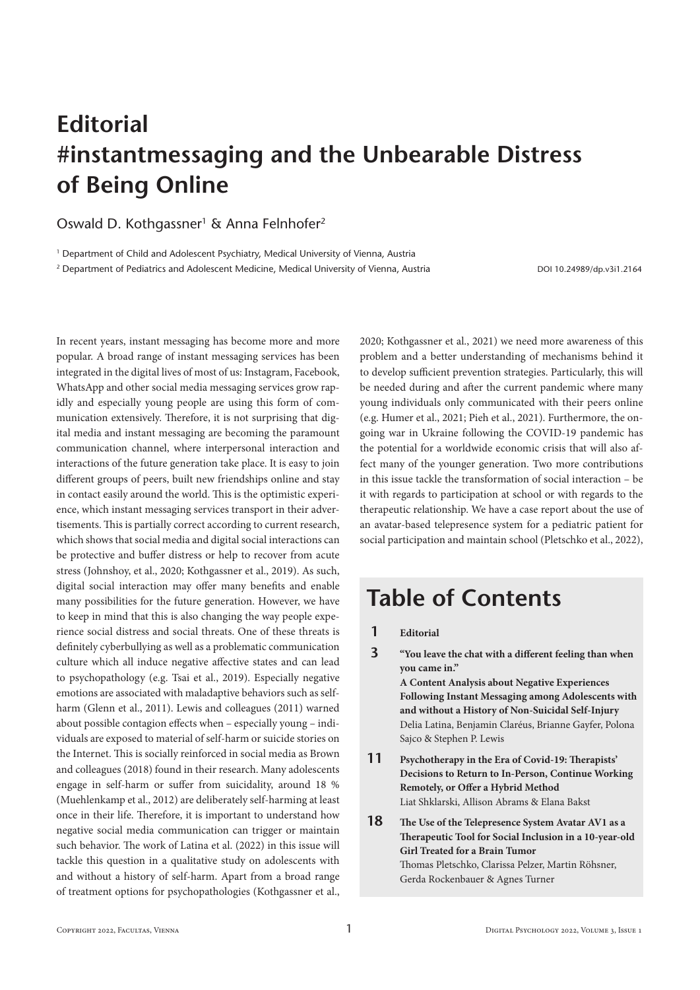## **Editorial #instantmessaging and the Unbearable Distress of Being Online**

Oswald D. Kothgassner<sup>1</sup> & Anna Felnhofer<sup>2</sup>

<sup>1</sup> Department of Child and Adolescent Psychiatry, Medical University of Vienna, Austria

<sup>2</sup> Department of Pediatrics and Adolescent Medicine, Medical University of Vienna, Austria DOI 10.24989/dp.v3i1.2164

In recent years, instant messaging has become more and more popular. A broad range of instant messaging services has been integrated in the digital lives of most of us: Instagram, Facebook, WhatsApp and other social media messaging services grow rapidly and especially young people are using this form of communication extensively. Therefore, it is not surprising that digital media and instant messaging are becoming the paramount communication channel, where interpersonal interaction and interactions of the future generation take place. It is easy to join different groups of peers, built new friendships online and stay in contact easily around the world. This is the optimistic experience, which instant messaging services transport in their advertisements. This is partially correct according to current research, which shows that social media and digital social interactions can be protective and buffer distress or help to recover from acute stress (Johnshoy, et al., 2020; Kothgassner et al., 2019). As such, digital social interaction may offer many benefits and enable many possibilities for the future generation. However, we have to keep in mind that this is also changing the way people experience social distress and social threats. One of these threats is definitely cyberbullying as well as a problematic communication culture which all induce negative affective states and can lead to psychopathology (e.g. Tsai et al., 2019). Especially negative emotions are associated with maladaptive behaviors such as selfharm (Glenn et al., 2011). Lewis and colleagues (2011) warned about possible contagion effects when – especially young – individuals are exposed to material of self-harm or suicide stories on the Internet. This is socially reinforced in social media as Brown and colleagues (2018) found in their research. Many adolescents engage in self-harm or suffer from suicidality, around 18 % (Muehlenkamp et al., 2012) are deliberately self-harming at least once in their life. Therefore, it is important to understand how negative social media communication can trigger or maintain such behavior. The work of Latina et al. (2022) in this issue will tackle this question in a qualitative study on adolescents with and without a history of self-harm. Apart from a broad range of treatment options for psychopathologies (Kothgassner et al., 2020; Kothgassner et al., 2021) we need more awareness of this problem and a better understanding of mechanisms behind it to develop sufficient prevention strategies. Particularly, this will be needed during and after the current pandemic where many young individuals only communicated with their peers online (e.g. Humer et al., 2021; Pieh et al., 2021). Furthermore, the ongoing war in Ukraine following the COVID-19 pandemic has the potential for a worldwide economic crisis that will also affect many of the younger generation. Two more contributions in this issue tackle the transformation of social interaction – be it with regards to participation at school or with regards to the therapeutic relationship. We have a case report about the use of an avatar-based telepresence system for a pediatric patient for social participation and maintain school (Pletschko et al., 2022),

## **Table of Contents**

Sajco & Stephen P. Lewis

- **1 Editorial**
- **3 "You leave the chat with a different feeling than when you came in." A Content Analysis about Negative Experiences Following Instant Messaging among Adolescents with and without a History of Non-Suicidal Self-Injury** Delia Latina, Benjamin Claréus, Brianne Gayfer, Polona
- **11 Psychotherapy in the Era of Covid-19: Therapists' Decisions to Return to In-Person, Continue Working Remotely, or Offer a Hybrid Method**  Liat Shklarski, Allison Abrams & Elana Bakst
- **18 The Use of the Telepresence System Avatar AV1 as a Therapeutic Tool for Social Inclusion in a 10-year-old Girl Treated for a Brain Tumor**  Thomas Pletschko, Clarissa Pelzer, Martin Röhsner, Gerda Rockenbauer & Agnes Turner